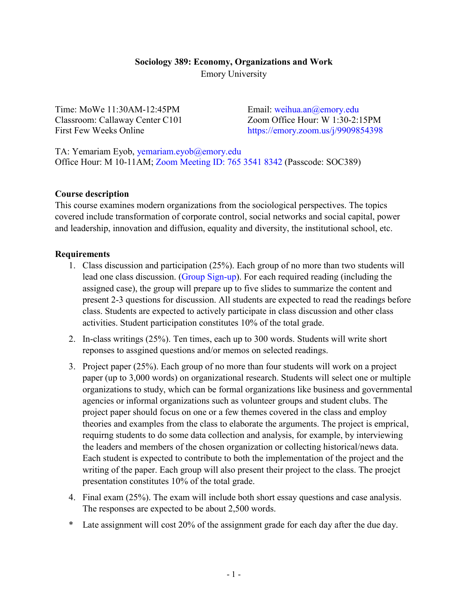# **Sociology 389: Economy, Organizations and Work** Emory University

Time: MoWe 11:30AM-12:45PM Classroom: Callaway Center C101 First Few Weeks Online

Email: [weihua.an@emory.edu](mailto:weihua.an@emory.edu) Zoom Office Hour: W 1:30-2:15PM <https://emory.zoom.us/j/9909854398>

TA: Yemariam Eyob, [yemariam.eyob@emory.edu](mailto:yemariam.eyob@emory.edu) Office Hour: M 10-11AM; [Zoom Meeting ID: 765 3541 8342](https://us04web.zoom.us/j/76535418342?pwd=MkKeFoHWvDKoCJOIqrrKDYEy3LOPix.1) (Passcode: SOC389)

## **Course description**

This course examines modern organizations from the sociological perspectives. The topics covered include transformation of corporate control, social networks and social capital, power and leadership, innovation and diffusion, equality and diversity, the institutional school, etc.

## **Requirements**

- 1. Class discussion and participation (25%). Each group of no more than two students will lead one class discussion. [\(Group Sign-up\)](https://docs.google.com/spreadsheets/d/1C1uzDZYfxiKi-o3UD1F9xPKogufh14rZQc_p1kSSHwA/edit?usp=sharing). For each required reading (including the assigned case), the group will prepare up to five slides to summarize the content and present 2-3 questions for discussion. All students are expected to read the readings before class. Students are expected to actively participate in class discussion and other class activities. Student participation constitutes 10% of the total grade.
- 2. In-class writings (25%). Ten times, each up to 300 words. Students will write short reponses to assgined questions and/or memos on selected readings.
- 3. Project paper (25%). Each group of no more than four students will work on a project paper (up to 3,000 words) on organizational research. Students will select one or multiple organizations to study, which can be formal organizations like business and governmental agencies or informal organizations such as volunteer groups and student clubs. The project paper should focus on one or a few themes covered in the class and employ theories and examples from the class to elaborate the arguments. The project is emprical, requirng students to do some data collection and analysis, for example, by interviewing the leaders and members of the chosen organization or collecting historical/news data. Each student is expected to contribute to both the implementation of the project and the writing of the paper. Each group will also present their project to the class. The proejct presentation constitutes 10% of the total grade.
- 4. Final exam (25%). The exam will include both short essay questions and case analysis. The responses are expected to be about 2,500 words.
- \* Late assignment will cost 20% of the assignment grade for each day after the due day.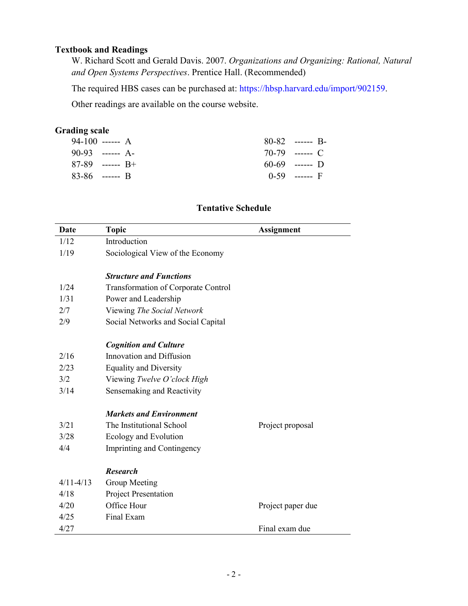# **Textbook and Readings**

W. Richard Scott and Gerald Davis. 2007. *Organizations and Organizing: Rational, Natural and Open Systems Perspectives*. Prentice Hall. (Recommended)

The required HBS cases can be purchased at: [https://hbsp.harvard.edu/import/902159.](https://hbsp.harvard.edu/import/902159)

Other readings are available on the course website.

# **Grading scale**

| 94-100 ------ A   | $80-82$ ------ B- |
|-------------------|-------------------|
| $90-93$ ------ A- | $70-79$ ------ C  |
| $87-89$ ------ R+ | $60-69$ ------ D  |
| $83-86$ ------ B  | $0-59$ ------ F   |

# **Tentative Schedule**

| Date          | <b>Topic</b>                               | <b>Assignment</b> |
|---------------|--------------------------------------------|-------------------|
| 1/12          | Introduction                               |                   |
| 1/19          | Sociological View of the Economy           |                   |
|               | <b>Structure and Functions</b>             |                   |
| 1/24          | <b>Transformation of Corporate Control</b> |                   |
| 1/31          | Power and Leadership                       |                   |
| 2/7           | Viewing The Social Network                 |                   |
| 2/9           | Social Networks and Social Capital         |                   |
|               | <b>Cognition and Culture</b>               |                   |
| 2/16          | Innovation and Diffusion                   |                   |
| 2/23          | <b>Equality and Diversity</b>              |                   |
| 3/2           | Viewing Twelve O'clock High                |                   |
| 3/14          | Sensemaking and Reactivity                 |                   |
|               | <b>Markets and Environment</b>             |                   |
| 3/21          | The Institutional School                   | Project proposal  |
| 3/28          | Ecology and Evolution                      |                   |
| 4/4           | Imprinting and Contingency                 |                   |
|               | <b>Research</b>                            |                   |
| $4/11 - 4/13$ | Group Meeting                              |                   |
| 4/18          | Project Presentation                       |                   |
| 4/20          | Office Hour                                | Project paper due |
| 4/25          | Final Exam                                 |                   |
| 4/27          |                                            | Final exam due    |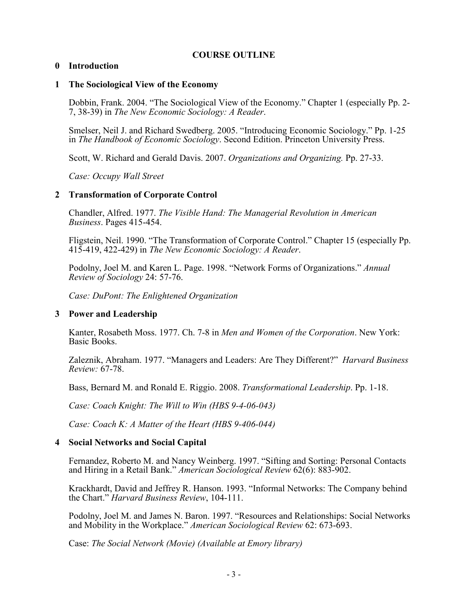## **COURSE OUTLINE**

### **0 Introduction**

#### **1 The Sociological View of the Economy**

Dobbin, Frank. 2004. "The Sociological View of the Economy." Chapter 1 (especially Pp. 2- 7, 38-39) in *The New Economic Sociology: A Reader*.

Smelser, Neil J. and Richard Swedberg. 2005. "Introducing Economic Sociology." Pp. 1-25 in *The Handbook of Economic Sociology*. Second Edition. Princeton University Press.

Scott, W. Richard and Gerald Davis. 2007. *Organizations and Organizing.* Pp. 27-33.

*Case: Occupy Wall Street*

#### **2 Transformation of Corporate Control**

Chandler, Alfred. 1977. *The Visible Hand: The Managerial Revolution in American Business*. Pages 415-454.

Fligstein, Neil. 1990. "The Transformation of Corporate Control." Chapter 15 (especially Pp. 415-419, 422-429) in *The New Economic Sociology: A Reader*.

Podolny, Joel M. and Karen L. Page. 1998. "Network Forms of Organizations." *Annual Review of Sociology* 24: 57-76.

*Case: DuPont: The Enlightened Organization*

## **3 Power and Leadership**

Kanter, Rosabeth Moss. 1977. Ch. 7-8 in *Men and Women of the Corporation*. New York: Basic Books.

Zaleznik, Abraham. 1977. "Managers and Leaders: Are They Different?" *Harvard Business Review:* 67-78.

Bass, Bernard M. and Ronald E. Riggio. 2008. *Transformational Leadership*. Pp. 1-18.

*Case: Coach Knight: The Will to Win (HBS 9-4-06-043)*

*Case: Coach K: A Matter of the Heart (HBS 9-406-044)*

## **4 Social Networks and Social Capital**

Fernandez, Roberto M. and Nancy Weinberg. 1997. "Sifting and Sorting: Personal Contacts and Hiring in a Retail Bank." *American Sociological Review* 62(6): 883-902.

Krackhardt, David and Jeffrey R. Hanson. 1993. "Informal Networks: The Company behind the Chart." *Harvard Business Review*, 104-111.

Podolny, Joel M. and James N. Baron. 1997. "Resources and Relationships: Social Networks and Mobility in the Workplace." *American Sociological Review* 62: 673-693.

Case: *The Social Network (Movie) (Available at Emory library)*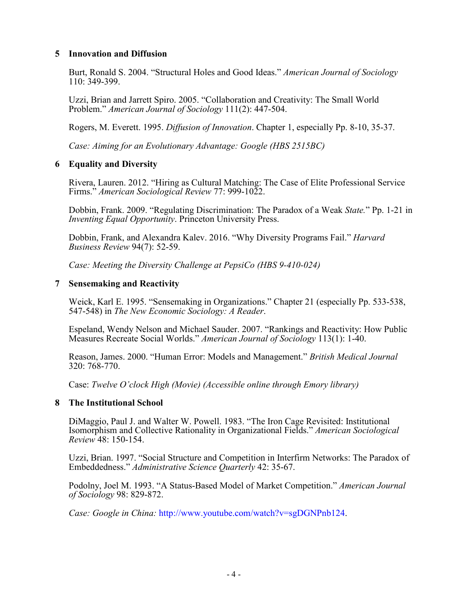### **5 Innovation and Diffusion**

Burt, Ronald S. 2004. "Structural Holes and Good Ideas." *American Journal of Sociology* 110: 349-399.

Uzzi, Brian and Jarrett Spiro. 2005. "Collaboration and Creativity: The Small World Problem." *American Journal of Sociology* 111(2): 447-504.

Rogers, M. Everett. 1995. *Diffusion of Innovation*. Chapter 1, especially Pp. 8-10, 35-37.

*Case: Aiming for an Evolutionary Advantage: Google (HBS 2515BC)*

#### **6 Equality and Diversity**

Rivera, Lauren. 2012. "Hiring as Cultural Matching: The Case of Elite Professional Service Firms." *American Sociological Review* 77: 999-1022.

Dobbin, Frank. 2009. "Regulating Discrimination: The Paradox of a Weak *State.*" Pp. 1-21 in *Inventing Equal Opportunity*. Princeton University Press.

Dobbin, Frank, and Alexandra Kalev. 2016. "Why Diversity Programs Fail." *Harvard Business Review* 94(7): 52-59.

*Case: Meeting the Diversity Challenge at PepsiCo (HBS 9-410-024)*

#### **7 Sensemaking and Reactivity**

Weick, Karl E. 1995. "Sensemaking in Organizations." Chapter 21 (especially Pp. 533-538, 547-548) in *The New Economic Sociology: A Reader*.

Espeland, Wendy Nelson and Michael Sauder. 2007. "Rankings and Reactivity: How Public Measures Recreate Social Worlds." *American Journal of Sociology* 113(1): 1-40.

Reason, James. 2000. "Human Error: Models and Management." *British Medical Journal* 320: 768-770.

Case: *Twelve O'clock High (Movie) (Accessible online through Emory library)*

#### **8 The Institutional School**

DiMaggio, Paul J. and Walter W. Powell. 1983. "The Iron Cage Revisited: Institutional Isomorphism and Collective Rationality in Organizational Fields." *American Sociological Review* 48: 150-154.

Uzzi, Brian. 1997. "Social Structure and Competition in Interfirm Networks: The Paradox of Embeddedness." *Administrative Science Quarterly* 42: 35-67.

Podolny, Joel M. 1993. "A Status-Based Model of Market Competition." *American Journal of Sociology* 98: 829-872.

*Case: Google in China:* [http://www.youtube.com/watch?v=sgDGNPnb124.](http://www.youtube.com/watch?v=sgDGNPnb124)